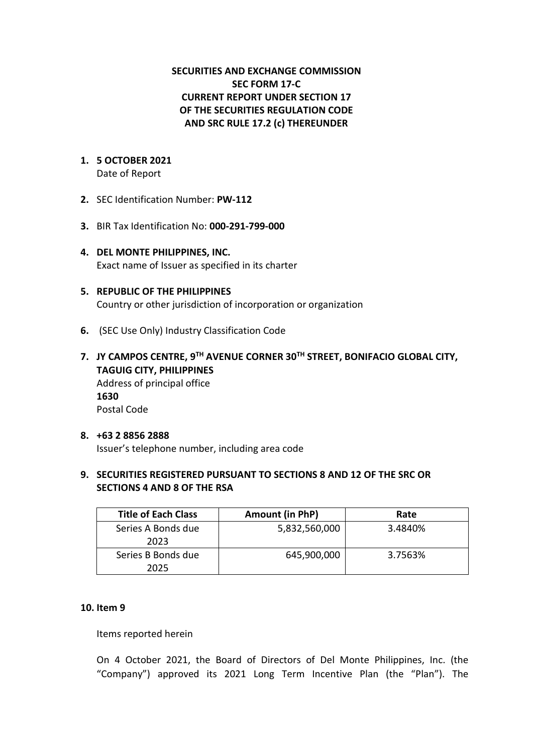# **SECURITIES AND EXCHANGE COMMISSION SEC FORM 17-C CURRENT REPORT UNDER SECTION 17 OF THE SECURITIES REGULATION CODE AND SRC RULE 17.2 (c) THEREUNDER**

# **1. 5 OCTOBER 2021**

Date of Report

- **2.** SEC Identification Number: **PW-112**
- **3.** BIR Tax Identification No: **000-291-799-000**
- **4. DEL MONTE PHILIPPINES, INC.**  Exact name of Issuer as specified in its charter
- **5. REPUBLIC OF THE PHILIPPINES** Country or other jurisdiction of incorporation or organization
- **6.** (SEC Use Only) Industry Classification Code
- **7. JY CAMPOS CENTRE, 9TH AVENUE CORNER 30TH STREET, BONIFACIO GLOBAL CITY, TAGUIG CITY, PHILIPPINES** Address of principal office **1630** Postal Code
- **8. +63 2 8856 2888** Issuer's telephone number, including area code

# **9. SECURITIES REGISTERED PURSUANT TO SECTIONS 8 AND 12 OF THE SRC OR SECTIONS 4 AND 8 OF THE RSA**

| <b>Title of Each Class</b> | Amount (in PhP) | Rate    |
|----------------------------|-----------------|---------|
| Series A Bonds due<br>2023 | 5,832,560,000   | 3.4840% |
| Series B Bonds due<br>2025 | 645,900,000     | 3.7563% |

### **10. Item 9**

Items reported herein

On 4 October 2021, the Board of Directors of Del Monte Philippines, Inc. (the "Company") approved its 2021 Long Term Incentive Plan (the "Plan"). The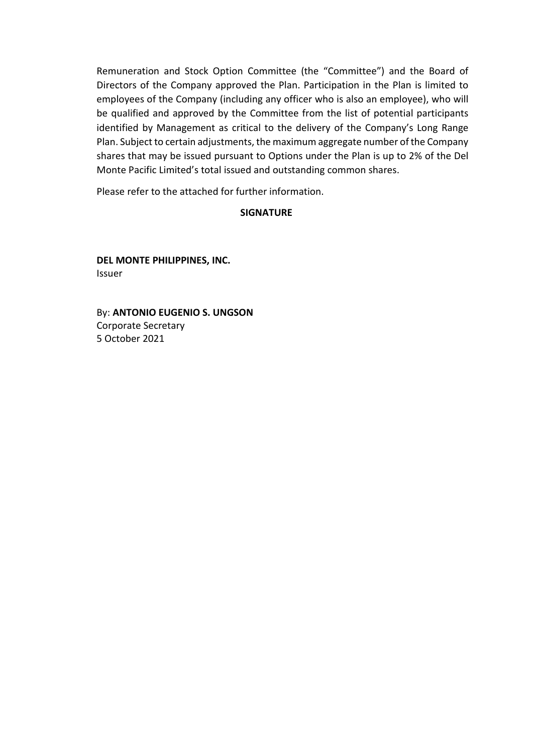Remuneration and Stock Option Committee (the "Committee") and the Board of Directors of the Company approved the Plan. Participation in the Plan is limited to employees of the Company (including any officer who is also an employee), who will be qualified and approved by the Committee from the list of potential participants identified by Management as critical to the delivery of the Company's Long Range Plan. Subject to certain adjustments, the maximum aggregate number of the Company shares that may be issued pursuant to Options under the Plan is up to 2% of the Del Monte Pacific Limited's total issued and outstanding common shares.

Please refer to the attached for further information.

# **SIGNATURE**

**DEL MONTE PHILIPPINES, INC.**  Issuer

By: **ANTONIO EUGENIO S. UNGSON** Corporate Secretary 5 October 2021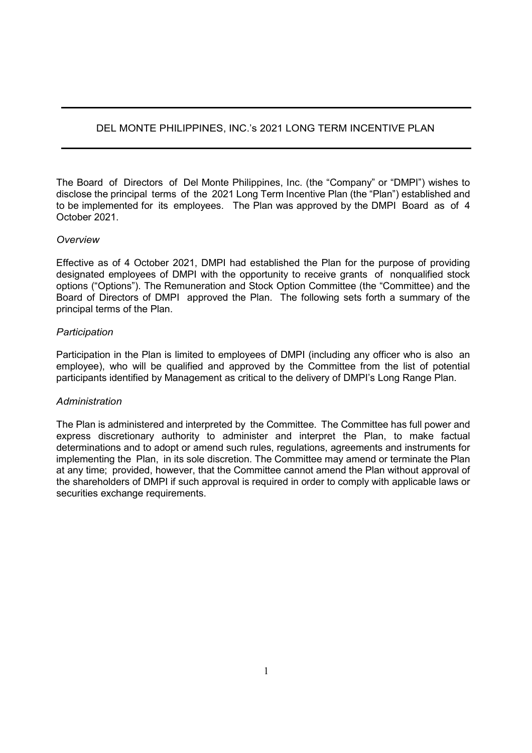# DEL MONTE PHILIPPINES, INC.'s 2021 LONG TERM INCENTIVE PLAN

The Board of Directors of Del Monte Philippines, Inc. (the "Company" or "DMPI") wishes to disclose the principal terms of the 2021 Long Term Incentive Plan (the "Plan") established and to be implemented for its employees. The Plan was approved by the DMPI Board as of 4 October 2021.

#### *Overview*

Effective as of 4 October 2021, DMPI had established the Plan for the purpose of providing designated employees of DMPI with the opportunity to receive grants of nonqualified stock options ("Options"). The Remuneration and Stock Option Committee (the "Committee) and the Board of Directors of DMPI approved the Plan. The following sets forth a summary of the principal terms of the Plan.

#### *Participation*

Participation in the Plan is limited to employees of DMPI (including any officer who is also an employee), who will be qualified and approved by the Committee from the list of potential participants identified by Management as critical to the delivery of DMPI's Long Range Plan.

#### *Administration*

The Plan is administered and interpreted by the Committee. The Committee has full power and express discretionary authority to administer and interpret the Plan, to make factual determinations and to adopt or amend such rules, regulations, agreements and instruments for implementing the Plan, in its sole discretion. The Committee may amend or terminate the Plan at any time; provided, however, that the Committee cannot amend the Plan without approval of the shareholders of DMPI if such approval is required in order to comply with applicable laws or securities exchange requirements.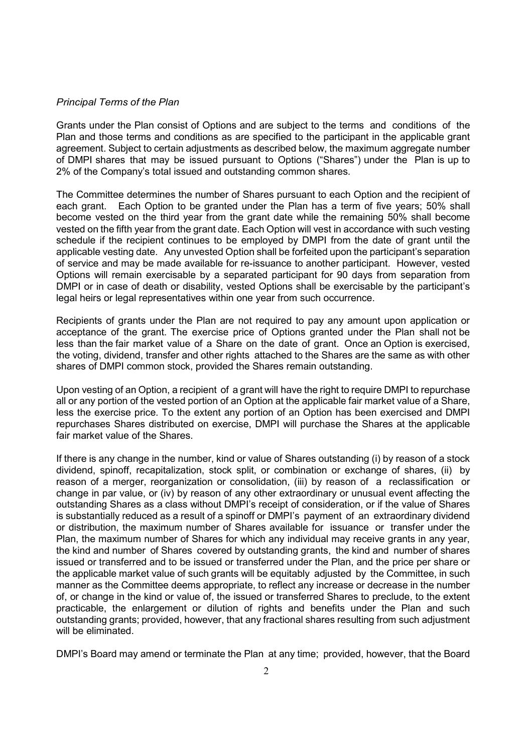#### *Principal Terms of the Plan*

Grants under the Plan consist of Options and are subject to the terms and conditions of the Plan and those terms and conditions as are specified to the participant in the applicable grant agreement. Subject to certain adjustments as described below, the maximum aggregate number of DMPI shares that may be issued pursuant to Options ("Shares") under the Plan is up to 2% of the Company's total issued and outstanding common shares.

The Committee determines the number of Shares pursuant to each Option and the recipient of each grant. Each Option to be granted under the Plan has a term of five years; 50% shall become vested on the third year from the grant date while the remaining 50% shall become vested on the fifth year from the grant date. Each Option will vest in accordance with such vesting schedule if the recipient continues to be employed by DMPI from the date of grant until the applicable vesting date. Any unvested Option shall be forfeited upon the participant's separation of service and may be made available for re-issuance to another participant. However, vested Options will remain exercisable by a separated participant for 90 days from separation from DMPI or in case of death or disability, vested Options shall be exercisable by the participant's legal heirs or legal representatives within one year from such occurrence.

Recipients of grants under the Plan are not required to pay any amount upon application or acceptance of the grant. The exercise price of Options granted under the Plan shall not be less than the fair market value of a Share on the date of grant. Once an Option is exercised, the voting, dividend, transfer and other rights attached to the Shares are the same as with other shares of DMPI common stock, provided the Shares remain outstanding.

Upon vesting of an Option, a recipient of a grant will have the right to require DMPI to repurchase all or any portion of the vested portion of an Option at the applicable fair market value of a Share, less the exercise price. To the extent any portion of an Option has been exercised and DMPI repurchases Shares distributed on exercise, DMPI will purchase the Shares at the applicable fair market value of the Shares.

If there is any change in the number, kind or value of Shares outstanding (i) by reason of a stock dividend, spinoff, recapitalization, stock split, or combination or exchange of shares, (ii) by reason of a merger, reorganization or consolidation, (iii) by reason of a reclassification or change in par value, or (iv) by reason of any other extraordinary or unusual event affecting the outstanding Shares as a class without DMPI's receipt of consideration, or if the value of Shares is substantially reduced as a result of a spinoff or DMPI's payment of an extraordinary dividend or distribution, the maximum number of Shares available for issuance or transfer under the Plan, the maximum number of Shares for which any individual may receive grants in any year, the kind and number of Shares covered by outstanding grants, the kind and number of shares issued or transferred and to be issued or transferred under the Plan, and the price per share or the applicable market value of such grants will be equitably adjusted by the Committee, in such manner as the Committee deems appropriate, to reflect any increase or decrease in the number of, or change in the kind or value of, the issued or transferred Shares to preclude, to the extent practicable, the enlargement or dilution of rights and benefits under the Plan and such outstanding grants; provided, however, that any fractional shares resulting from such adjustment will be eliminated.

DMPI's Board may amend or terminate the Plan at any time; provided, however, that the Board